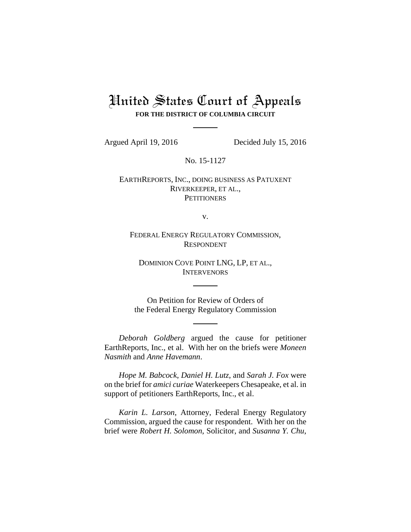# United States Court of Appeals **FOR THE DISTRICT OF COLUMBIA CIRCUIT**

Argued April 19, 2016 Decided July 15, 2016

No. 15-1127

EARTHREPORTS, INC., DOING BUSINESS AS PATUXENT RIVERKEEPER, ET AL., **PETITIONERS** 

v.

FEDERAL ENERGY REGULATORY COMMISSION, RESPONDENT

DOMINION COVE POINT LNG, LP, ET AL., **INTERVENORS** 

On Petition for Review of Orders of the Federal Energy Regulatory Commission

*Deborah Goldberg* argued the cause for petitioner EarthReports, Inc., et al. With her on the briefs were *Moneen Nasmith* and *Anne Havemann*.

*Hope M. Babcock*, *Daniel H. Lutz*, and *Sarah J. Fox* were on the brief for *amici curiae* Waterkeepers Chesapeake, et al. in support of petitioners EarthReports, Inc., et al.

*Karin L. Larson*, Attorney, Federal Energy Regulatory Commission, argued the cause for respondent. With her on the brief were *Robert H. Solomon*, Solicitor, and *Susanna Y. Chu*,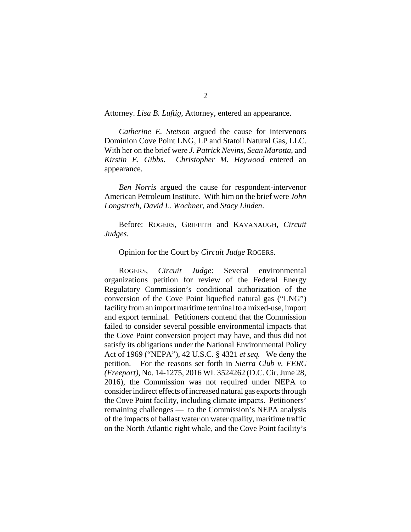Attorney. *Lisa B. Luftig*, Attorney, entered an appearance.

*Catherine E. Stetson* argued the cause for intervenors Dominion Cove Point LNG, LP and Statoil Natural Gas, LLC. With her on the brief were *J. Patrick Nevins*, *Sean Marotta*, and *Kirstin E. Gibbs*. *Christopher M. Heywood* entered an appearance.

*Ben Norris* argued the cause for respondent-intervenor American Petroleum Institute. With him on the brief were *John Longstreth*, *David L. Wochner*, and *Stacy Linden*.

Before: ROGERS, GRIFFITH and KAVANAUGH, *Circuit Judges*.

## Opinion for the Court by *Circuit Judge* ROGERS.

ROGERS, *Circuit Judge*: Several environmental organizations petition for review of the Federal Energy Regulatory Commission's conditional authorization of the conversion of the Cove Point liquefied natural gas ("LNG") facility from an import maritime terminal to a mixed-use, import and export terminal. Petitioners contend that the Commission failed to consider several possible environmental impacts that the Cove Point conversion project may have, and thus did not satisfy its obligations under the National Environmental Policy Act of 1969 ("NEPA"), 42 U.S.C. § 4321 *et seq.* We deny the petition. For the reasons set forth in *Sierra Club v. FERC (Freeport)*, No. 14-1275, 2016 WL 3524262 (D.C. Cir. June 28, 2016), the Commission was not required under NEPA to consider indirect effects of increased natural gas exports through the Cove Point facility, including climate impacts. Petitioners' remaining challenges — to the Commission's NEPA analysis of the impacts of ballast water on water quality, maritime traffic on the North Atlantic right whale, and the Cove Point facility's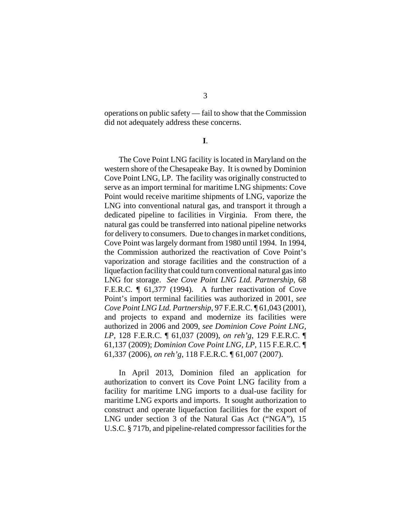operations on public safety — fail to show that the Commission did not adequately address these concerns.

**I**.

The Cove Point LNG facility is located in Maryland on the western shore of the Chesapeake Bay. It is owned by Dominion Cove Point LNG, LP. The facility was originally constructed to serve as an import terminal for maritime LNG shipments: Cove Point would receive maritime shipments of LNG, vaporize the LNG into conventional natural gas, and transport it through a dedicated pipeline to facilities in Virginia. From there, the natural gas could be transferred into national pipeline networks for delivery to consumers. Due to changes in market conditions, Cove Point was largely dormant from 1980 until 1994. In 1994, the Commission authorized the reactivation of Cove Point's vaporization and storage facilities and the construction of a liquefaction facility that could turn conventional natural gas into LNG for storage. *See Cove Point LNG Ltd. Partnership*, 68 F.E.R.C. ¶ 61,377 (1994). A further reactivation of Cove Point's import terminal facilities was authorized in 2001, *see Cove Point LNG Ltd. Partnership*, 97 F.E.R.C. ¶ 61,043 (2001), and projects to expand and modernize its facilities were authorized in 2006 and 2009, *see Dominion Cove Point LNG, LP*, 128 F.E.R.C. ¶ 61,037 (2009), *on reh'g*, 129 F.E.R.C. ¶ 61,137 (2009); *Dominion Cove Point LNG, LP*, 115 F.E.R.C. ¶ 61,337 (2006), *on reh'g*, 118 F.E.R.C. ¶ 61,007 (2007).

In April 2013, Dominion filed an application for authorization to convert its Cove Point LNG facility from a facility for maritime LNG imports to a dual-use facility for maritime LNG exports and imports. It sought authorization to construct and operate liquefaction facilities for the export of LNG under section 3 of the Natural Gas Act ("NGA"), 15 U.S.C. § 717b, and pipeline-related compressor facilities for the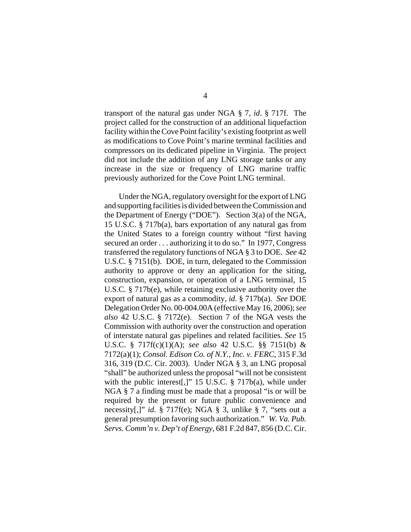transport of the natural gas under NGA § 7, *id*. § 717f. The project called for the construction of an additional liquefaction facility within the Cove Point facility's existing footprint as well as modifications to Cove Point's marine terminal facilities and compressors on its dedicated pipeline in Virginia. The project did not include the addition of any LNG storage tanks or any increase in the size or frequency of LNG marine traffic previously authorized for the Cove Point LNG terminal.

Under the NGA, regulatory oversight for the export of LNG and supporting facilities is divided between the Commission and the Department of Energy ("DOE"). Section 3(a) of the NGA, 15 U.S.C. § 717b(a), bars exportation of any natural gas from the United States to a foreign country without "first having secured an order . . . authorizing it to do so." In 1977, Congress transferred the regulatory functions of NGA § 3 to DOE. *See* 42 U.S.C. § 7151(b). DOE, in turn, delegated to the Commission authority to approve or deny an application for the siting, construction, expansion, or operation of a LNG terminal, 15 U.S.C. § 717b(e), while retaining exclusive authority over the export of natural gas as a commodity, *id.* § 717b(a). *See* DOE Delegation Order No. 00-004.00A (effective May 16, 2006); *see also* 42 U.S.C. § 7172(e). Section 7 of the NGA vests the Commission with authority over the construction and operation of interstate natural gas pipelines and related facilities. *See* 15 U.S.C. § 717f(c)(1)(A); *see also* 42 U.S.C. §§ 7151(b) & 7172(a)(1); *Consol. Edison Co. of N.Y., Inc. v. FERC*, 315 F.3d 316, 319 (D.C. Cir. 2003). Under NGA § 3, an LNG proposal "shall" be authorized unless the proposal "will not be consistent with the public interest[,]" 15 U.S.C. § 717b(a), while under NGA § 7 a finding must be made that a proposal "is or will be required by the present or future public convenience and necessity[,]" *id.* § 717f(e); NGA § 3, unlike § 7, "sets out a general presumption favoring such authorization." *W. Va. Pub. Servs. Comm'n v. Dep't of Energy*, 681 F.2d 847, 856 (D.C. Cir.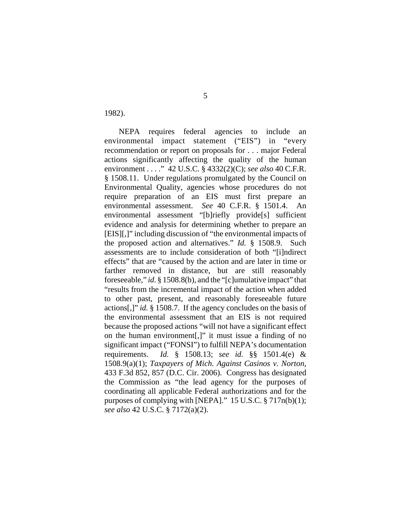1982).

NEPA requires federal agencies to include an environmental impact statement ("EIS") in "every recommendation or report on proposals for . . . major Federal actions significantly affecting the quality of the human environment . . . ." 42 U.S.C. § 4332(2)(C); *see also* 40 C.F.R. § 1508.11. Under regulations promulgated by the Council on Environmental Quality, agencies whose procedures do not require preparation of an EIS must first prepare an environmental assessment. *See* 40 C.F.R. § 1501.4. An environmental assessment "[b]riefly provide[s] sufficient evidence and analysis for determining whether to prepare an [EIS][,]" including discussion of "the environmental impacts of the proposed action and alternatives." *Id.* § 1508.9. Such assessments are to include consideration of both "[i]ndirect effects" that are "caused by the action and are later in time or farther removed in distance, but are still reasonably foreseeable," *id*. § 1508.8(b), and the "[c]umulative impact" that "results from the incremental impact of the action when added to other past, present, and reasonably foreseeable future actions[,]" *id.* § 1508.7. If the agency concludes on the basis of the environmental assessment that an EIS is not required because the proposed actions "will not have a significant effect on the human environment[,]" it must issue a finding of no significant impact ("FONSI") to fulfill NEPA's documentation requirements. *Id.* § 1508.13; *see id.* §§ 1501.4(e) & 1508.9(a)(1); *Taxpayers of Mich. Against Casinos v. Norton*, 433 F.3d 852, 857 (D.C. Cir. 2006). Congress has designated the Commission as "the lead agency for the purposes of coordinating all applicable Federal authorizations and for the purposes of complying with [NEPA]." 15 U.S.C. § 717n(b)(1); *see also* 42 U.S.C. § 7172(a)(2).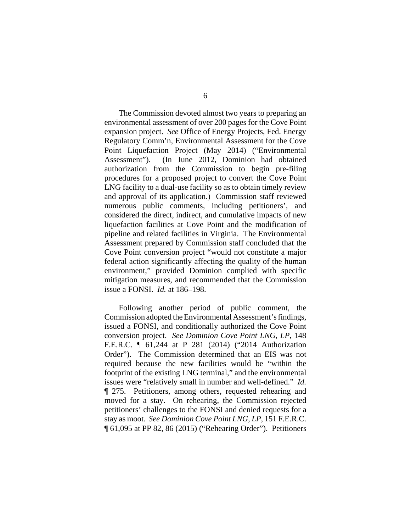The Commission devoted almost two years to preparing an environmental assessment of over 200 pages for the Cove Point expansion project. *See* Office of Energy Projects, Fed. Energy Regulatory Comm'n, Environmental Assessment for the Cove Point Liquefaction Project (May 2014) ("Environmental Assessment"). (In June 2012, Dominion had obtained authorization from the Commission to begin pre-filing procedures for a proposed project to convert the Cove Point LNG facility to a dual-use facility so as to obtain timely review and approval of its application.) Commission staff reviewed numerous public comments, including petitioners', and considered the direct, indirect, and cumulative impacts of new liquefaction facilities at Cove Point and the modification of pipeline and related facilities in Virginia. The Environmental Assessment prepared by Commission staff concluded that the Cove Point conversion project "would not constitute a major federal action significantly affecting the quality of the human environment," provided Dominion complied with specific mitigation measures, and recommended that the Commission issue a FONSI. *Id.* at 186–198.

Following another period of public comment, the Commission adopted the Environmental Assessment's findings, issued a FONSI, and conditionally authorized the Cove Point conversion project. *See Dominion Cove Point LNG, LP*, 148 F.E.R.C. ¶ 61,244 at P 281 (2014) ("2014 Authorization Order"). The Commission determined that an EIS was not required because the new facilities would be "within the footprint of the existing LNG terminal," and the environmental issues were "relatively small in number and well-defined." *Id.* ¶ 275. Petitioners, among others, requested rehearing and moved for a stay. On rehearing, the Commission rejected petitioners' challenges to the FONSI and denied requests for a stay as moot. *See Dominion Cove Point LNG, LP*, 151 F.E.R.C. ¶ 61,095 at PP 82, 86 (2015) ("Rehearing Order"). Petitioners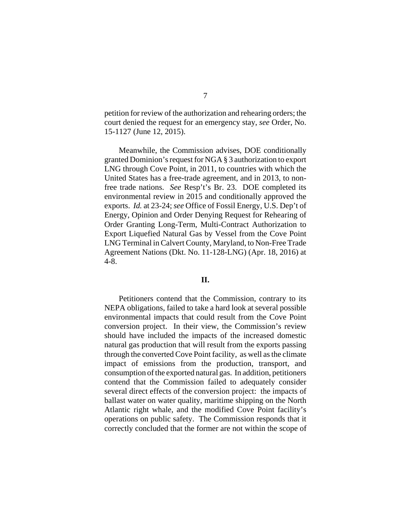petition for review of the authorization and rehearing orders; the court denied the request for an emergency stay, *see* Order, No. 15-1127 (June 12, 2015).

Meanwhile, the Commission advises, DOE conditionally granted Dominion's request for NGA § 3 authorization to export LNG through Cove Point, in 2011, to countries with which the United States has a free-trade agreement, and in 2013, to nonfree trade nations. *See* Resp't's Br. 23. DOE completed its environmental review in 2015 and conditionally approved the exports. *Id.* at 23-24; *see* Office of Fossil Energy, U.S. Dep't of Energy, Opinion and Order Denying Request for Rehearing of Order Granting Long-Term, Multi-Contract Authorization to Export Liquefied Natural Gas by Vessel from the Cove Point LNG Terminal in Calvert County, Maryland, to Non-Free Trade Agreement Nations (Dkt. No. 11-128-LNG) (Apr. 18, 2016) at 4-8.

### **II.**

Petitioners contend that the Commission, contrary to its NEPA obligations, failed to take a hard look at several possible environmental impacts that could result from the Cove Point conversion project. In their view, the Commission's review should have included the impacts of the increased domestic natural gas production that will result from the exports passing through the converted Cove Point facility, as well as the climate impact of emissions from the production, transport, and consumption of the exported natural gas. In addition, petitioners contend that the Commission failed to adequately consider several direct effects of the conversion project: the impacts of ballast water on water quality, maritime shipping on the North Atlantic right whale, and the modified Cove Point facility's operations on public safety. The Commission responds that it correctly concluded that the former are not within the scope of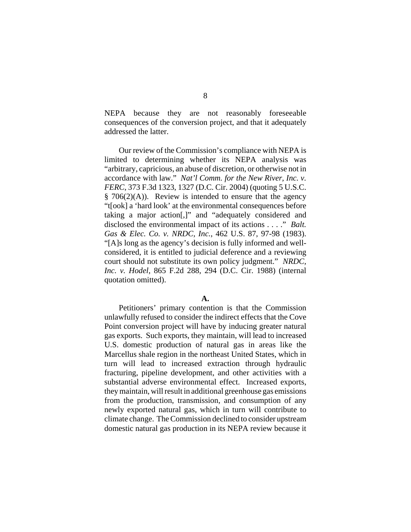NEPA because they are not reasonably foreseeable consequences of the conversion project, and that it adequately addressed the latter.

Our review of the Commission's compliance with NEPA is limited to determining whether its NEPA analysis was "arbitrary, capricious, an abuse of discretion, or otherwise not in accordance with law." *Nat'l Comm. for the New River, Inc. v. FERC*, 373 F.3d 1323, 1327 (D.C. Cir. 2004) (quoting 5 U.S.C.  $§ 706(2)(A)$ . Review is intended to ensure that the agency "t[ook] a 'hard look' at the environmental consequences before taking a major action[,]" and "adequately considered and disclosed the environmental impact of its actions . . . ." *Balt. Gas & Elec. Co. v. NRDC, Inc.*, 462 U.S. 87, 97-98 (1983). "[A]s long as the agency's decision is fully informed and wellconsidered, it is entitled to judicial deference and a reviewing court should not substitute its own policy judgment." *NRDC, Inc. v. Hodel*, 865 F.2d 288, 294 (D.C. Cir. 1988) (internal quotation omitted).

#### **A.**

Petitioners' primary contention is that the Commission unlawfully refused to consider the indirect effects that the Cove Point conversion project will have by inducing greater natural gas exports. Such exports, they maintain, will lead to increased U.S. domestic production of natural gas in areas like the Marcellus shale region in the northeast United States, which in turn will lead to increased extraction through hydraulic fracturing, pipeline development, and other activities with a substantial adverse environmental effect. Increased exports, they maintain, will result in additional greenhouse gas emissions from the production, transmission, and consumption of any newly exported natural gas, which in turn will contribute to climate change. The Commission declined to consider upstream domestic natural gas production in its NEPA review because it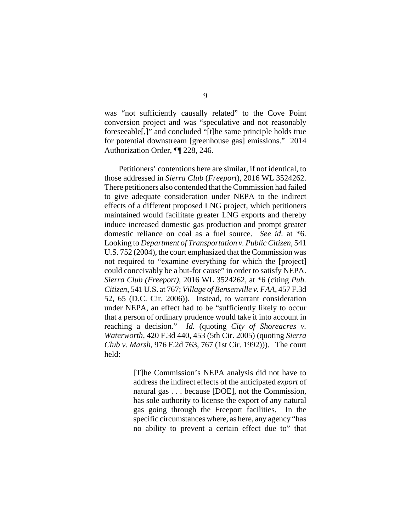was "not sufficiently causally related" to the Cove Point conversion project and was "speculative and not reasonably foreseeable[,]" and concluded "[t]he same principle holds true for potential downstream [greenhouse gas] emissions." 2014 Authorization Order, ¶¶ 228, 246.

Petitioners' contentions here are similar, if not identical, to those addressed in *Sierra Club* (*Freeport*), 2016 WL 3524262. There petitioners also contended that the Commission had failed to give adequate consideration under NEPA to the indirect effects of a different proposed LNG project, which petitioners maintained would facilitate greater LNG exports and thereby induce increased domestic gas production and prompt greater domestic reliance on coal as a fuel source. *See id*. at \*6. Looking to *Department of Transportation v. Public Citizen*, 541 U.S. 752 (2004), the court emphasized that the Commission was not required to "examine everything for which the [project] could conceivably be a but-for cause" in order to satisfy NEPA. *Sierra Club (Freeport)*, 2016 WL 3524262, at \*6 (citing *Pub. Citizen*, 541 U.S. at 767; *Village of Bensenville v. FAA*, 457 F.3d 52, 65 (D.C. Cir. 2006)). Instead, to warrant consideration under NEPA, an effect had to be "sufficiently likely to occur that a person of ordinary prudence would take it into account in reaching a decision." *Id.* (quoting *City of Shoreacres v. Waterworth*, 420 F.3d 440, 453 (5th Cir. 2005) (quoting *Sierra Club v. Marsh*, 976 F.2d 763, 767 (1st Cir. 1992))). The court held:

> [T]he Commission's NEPA analysis did not have to address the indirect effects of the anticipated *export* of natural gas . . . because [DOE], not the Commission, has sole authority to license the export of any natural gas going through the Freeport facilities. In the specific circumstances where, as here, any agency "has no ability to prevent a certain effect due to" that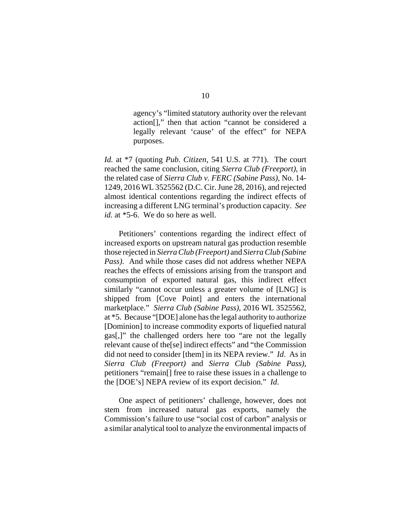agency's "limited statutory authority over the relevant action[]," then that action "cannot be considered a legally relevant 'cause' of the effect" for NEPA purposes.

*Id.* at \*7 (quoting *Pub. Citizen*, 541 U.S. at 771). The court reached the same conclusion, citing *Sierra Club (Freeport)*, in the related case of *Sierra Club v. FERC (Sabine Pass)*, No. 14- 1249, 2016 WL 3525562 (D.C. Cir. June 28, 2016), and rejected almost identical contentions regarding the indirect effects of increasing a different LNG terminal's production capacity. *See id.* at \*5-6. We do so here as well.

Petitioners' contentions regarding the indirect effect of increased exports on upstream natural gas production resemble those rejected in *Sierra Club (Freeport)* and *Sierra Club (Sabine Pass)*. And while those cases did not address whether NEPA reaches the effects of emissions arising from the transport and consumption of exported natural gas, this indirect effect similarly "cannot occur unless a greater volume of [LNG] is shipped from [Cove Point] and enters the international marketplace." *Sierra Club (Sabine Pass)*, 2016 WL 3525562, at \*5. Because "[DOE] alone has the legal authority to authorize [Dominion] to increase commodity exports of liquefied natural gas[,]" the challenged orders here too "are not the legally relevant cause of the[se] indirect effects" and "the Commission did not need to consider [them] in its NEPA review." *Id*. As in *Sierra Club (Freeport)* and *Sierra Club (Sabine Pass)*, petitioners "remain[] free to raise these issues in a challenge to the [DOE's] NEPA review of its export decision." *Id*.

One aspect of petitioners' challenge, however, does not stem from increased natural gas exports, namely the Commission's failure to use "social cost of carbon" analysis or a similar analytical tool to analyze the environmental impacts of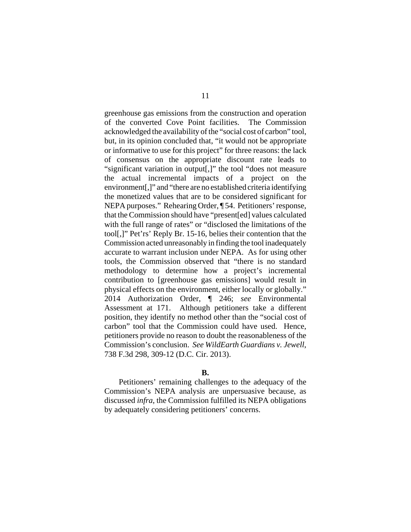greenhouse gas emissions from the construction and operation of the converted Cove Point facilities. The Commission acknowledged the availability of the "social cost of carbon" tool, but, in its opinion concluded that, "it would not be appropriate or informative to use for this project" for three reasons: the lack of consensus on the appropriate discount rate leads to "significant variation in output[,]" the tool "does not measure the actual incremental impacts of a project on the environment[,]" and "there are no established criteria identifying the monetized values that are to be considered significant for NEPA purposes." Rehearing Order, ¶ 54. Petitioners' response, that the Commission should have "present[ed] values calculated with the full range of rates" or "disclosed the limitations of the tool[,]" Pet'rs' Reply Br. 15-16, belies their contention that the Commission acted unreasonably in finding the tool inadequately accurate to warrant inclusion under NEPA. As for using other tools, the Commission observed that "there is no standard methodology to determine how a project's incremental contribution to [greenhouse gas emissions] would result in physical effects on the environment, either locally or globally." 2014 Authorization Order, ¶ 246; *see* Environmental Assessment at 171. Although petitioners take a different position, they identify no method other than the "social cost of carbon" tool that the Commission could have used. Hence, petitioners provide no reason to doubt the reasonableness of the Commission's conclusion. *See WildEarth Guardians v. Jewell*, 738 F.3d 298, 309-12 (D.C. Cir. 2013).

### **B.**

Petitioners' remaining challenges to the adequacy of the Commission's NEPA analysis are unpersuasive because, as discussed *infra*, the Commission fulfilled its NEPA obligations by adequately considering petitioners' concerns.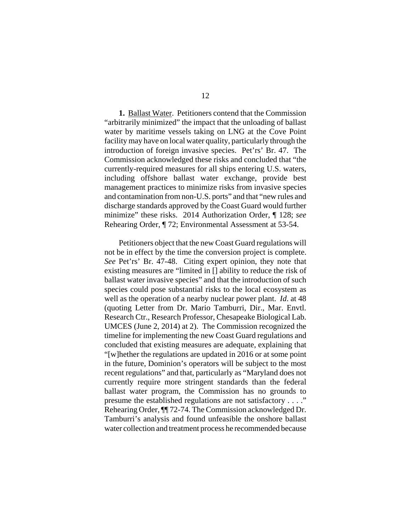**1.** Ballast Water. Petitioners contend that the Commission "arbitrarily minimized" the impact that the unloading of ballast water by maritime vessels taking on LNG at the Cove Point facility may have on local water quality, particularly through the introduction of foreign invasive species. Pet'rs' Br. 47. The Commission acknowledged these risks and concluded that "the currently-required measures for all ships entering U.S. waters, including offshore ballast water exchange, provide best management practices to minimize risks from invasive species and contamination from non-U.S. ports" and that "new rules and discharge standards approved by the Coast Guard would further minimize" these risks. 2014 Authorization Order, ¶ 128; *see*  Rehearing Order, ¶ 72; Environmental Assessment at 53-54.

Petitioners object that the new Coast Guard regulations will not be in effect by the time the conversion project is complete. *See* Pet'rs' Br. 47-48. Citing expert opinion, they note that existing measures are "limited in [] ability to reduce the risk of ballast water invasive species" and that the introduction of such species could pose substantial risks to the local ecosystem as well as the operation of a nearby nuclear power plant. *Id*. at 48 (quoting Letter from Dr. Mario Tamburri, Dir., Mar. Envtl. Research Ctr., Research Professor, Chesapeake Biological Lab. UMCES (June 2, 2014) at 2). The Commission recognized the timeline for implementing the new Coast Guard regulations and concluded that existing measures are adequate, explaining that "[w]hether the regulations are updated in 2016 or at some point in the future, Dominion's operators will be subject to the most recent regulations" and that, particularly as "Maryland does not currently require more stringent standards than the federal ballast water program, the Commission has no grounds to presume the established regulations are not satisfactory . . . ." Rehearing Order, ¶¶ 72-74. The Commission acknowledged Dr. Tamburri's analysis and found unfeasible the onshore ballast water collection and treatment process he recommended because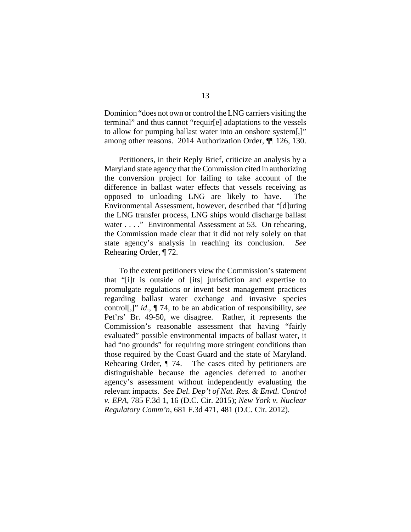Dominion "does not own or control the LNG carriers visiting the terminal" and thus cannot "requir[e] adaptations to the vessels to allow for pumping ballast water into an onshore system[,]" among other reasons. 2014 Authorization Order, ¶¶ 126, 130.

Petitioners, in their Reply Brief, criticize an analysis by a Maryland state agency that the Commission cited in authorizing the conversion project for failing to take account of the difference in ballast water effects that vessels receiving as opposed to unloading LNG are likely to have. The Environmental Assessment, however, described that "[d]uring the LNG transfer process, LNG ships would discharge ballast water . . . ." Environmental Assessment at 53. On rehearing, the Commission made clear that it did not rely solely on that state agency's analysis in reaching its conclusion. *See* Rehearing Order, ¶ 72.

To the extent petitioners view the Commission's statement that "[i]t is outside of [its] jurisdiction and expertise to promulgate regulations or invent best management practices regarding ballast water exchange and invasive species control[,]" *id*., ¶ 74, to be an abdication of responsibility, *see* Pet'rs' Br. 49-50, we disagree. Rather, it represents the Commission's reasonable assessment that having "fairly evaluated" possible environmental impacts of ballast water, it had "no grounds" for requiring more stringent conditions than those required by the Coast Guard and the state of Maryland. Rehearing Order, ¶ 74. The cases cited by petitioners are distinguishable because the agencies deferred to another agency's assessment without independently evaluating the relevant impacts. *See Del. Dep't of Nat. Res. & Envtl. Control v. EPA*, 785 F.3d 1, 16 (D.C. Cir. 2015); *New York v. Nuclear Regulatory Comm'n*, 681 F.3d 471, 481 (D.C. Cir. 2012).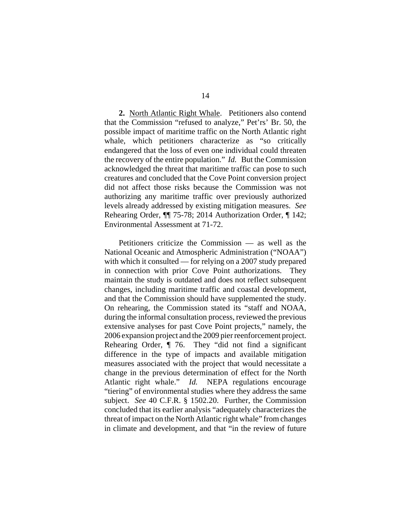**2.** North Atlantic Right Whale. Petitioners also contend that the Commission "refused to analyze," Pet'rs' Br. 50, the possible impact of maritime traffic on the North Atlantic right whale, which petitioners characterize as "so critically endangered that the loss of even one individual could threaten the recovery of the entire population." *Id.* But the Commission acknowledged the threat that maritime traffic can pose to such creatures and concluded that the Cove Point conversion project did not affect those risks because the Commission was not authorizing any maritime traffic over previously authorized levels already addressed by existing mitigation measures. *See* Rehearing Order, ¶¶ 75-78; 2014 Authorization Order, ¶ 142; Environmental Assessment at 71-72.

Petitioners criticize the Commission — as well as the National Oceanic and Atmospheric Administration ("NOAA") with which it consulted — for relying on a 2007 study prepared in connection with prior Cove Point authorizations. They maintain the study is outdated and does not reflect subsequent changes, including maritime traffic and coastal development, and that the Commission should have supplemented the study. On rehearing, the Commission stated its "staff and NOAA, during the informal consultation process, reviewed the previous extensive analyses for past Cove Point projects," namely, the 2006 expansion project and the 2009 pier reenforcement project. Rehearing Order, ¶ 76. They "did not find a significant difference in the type of impacts and available mitigation measures associated with the project that would necessitate a change in the previous determination of effect for the North Atlantic right whale." *Id.* NEPA regulations encourage "tiering" of environmental studies where they address the same subject. *See* 40 C.F.R. § 1502.20. Further, the Commission concluded that its earlier analysis "adequately characterizes the threat of impact on the North Atlantic right whale" from changes in climate and development, and that "in the review of future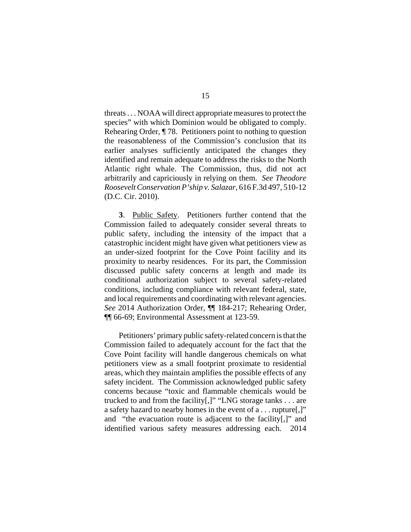threats . . . NOAA will direct appropriate measures to protect the species" with which Dominion would be obligated to comply. Rehearing Order, ¶ 78. Petitioners point to nothing to question the reasonableness of the Commission's conclusion that its earlier analyses sufficiently anticipated the changes they identified and remain adequate to address the risks to the North Atlantic right whale. The Commission, thus, did not act arbitrarily and capriciously in relying on them. *See Theodore Roosevelt Conservation P'ship v. Salazar*, 616 F.3d 497, 510-12 (D.C. Cir. 2010).

**3**. Public Safety. Petitioners further contend that the Commission failed to adequately consider several threats to public safety, including the intensity of the impact that a catastrophic incident might have given what petitioners view as an under-sized footprint for the Cove Point facility and its proximity to nearby residences. For its part, the Commission discussed public safety concerns at length and made its conditional authorization subject to several safety-related conditions, including compliance with relevant federal, state, and local requirements and coordinating with relevant agencies. *See* 2014 Authorization Order, ¶¶ 184-217; Rehearing Order, ¶¶ 66-69; Environmental Assessment at 123-59.

Petitioners' primary public safety-related concern is that the Commission failed to adequately account for the fact that the Cove Point facility will handle dangerous chemicals on what petitioners view as a small footprint proximate to residential areas, which they maintain amplifies the possible effects of any safety incident. The Commission acknowledged public safety concerns because "toxic and flammable chemicals would be trucked to and from the facility[,]" "LNG storage tanks . . . are a safety hazard to nearby homes in the event of a . . . rupture[,]" and "the evacuation route is adjacent to the facility[,]" and identified various safety measures addressing each. 2014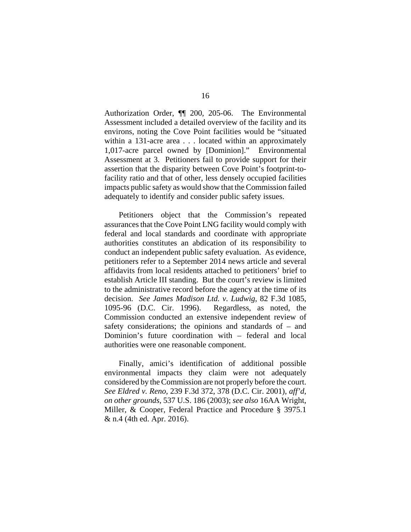Authorization Order, ¶¶ 200, 205-06. The Environmental Assessment included a detailed overview of the facility and its environs, noting the Cove Point facilities would be "situated within a 131-acre area . . . located within an approximately 1,017-acre parcel owned by [Dominion]." Environmental Assessment at 3. Petitioners fail to provide support for their assertion that the disparity between Cove Point's footprint-tofacility ratio and that of other, less densely occupied facilities impacts public safety as would show that the Commission failed adequately to identify and consider public safety issues.

Petitioners object that the Commission's repeated assurances that the Cove Point LNG facility would comply with federal and local standards and coordinate with appropriate authorities constitutes an abdication of its responsibility to conduct an independent public safety evaluation. As evidence, petitioners refer to a September 2014 news article and several affidavits from local residents attached to petitioners' brief to establish Article III standing. But the court's review is limited to the administrative record before the agency at the time of its decision. *See James Madison Ltd. v. Ludwig*, 82 F.3d 1085, 1095-96 (D.C. Cir. 1996). Regardless, as noted, the Commission conducted an extensive independent review of safety considerations; the opinions and standards of – and Dominion's future coordination with – federal and local authorities were one reasonable component.

Finally, amici's identification of additional possible environmental impacts they claim were not adequately considered by the Commission are not properly before the court. *See Eldred v. Reno*, 239 F.3d 372, 378 (D.C. Cir. 2001), *aff'd*, *on other grounds*, 537 U.S. 186 (2003); *see also* 16AA Wright, Miller, & Cooper, Federal Practice and Procedure § 3975.1 & n.4 (4th ed. Apr. 2016).